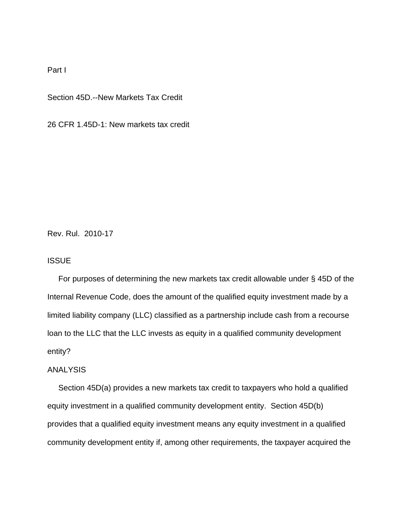## Part I

Section 45D.--New Markets Tax Credit

26 CFR 1.45D-1: New markets tax credit

Rev. Rul. 2010-17

## **ISSUE**

 For purposes of determining the new markets tax credit allowable under § 45D of the Internal Revenue Code, does the amount of the qualified equity investment made by a limited liability company (LLC) classified as a partnership include cash from a recourse loan to the LLC that the LLC invests as equity in a qualified community development entity?

# ANALYSIS

 Section 45D(a) provides a new markets tax credit to taxpayers who hold a qualified equity investment in a qualified community development entity. Section 45D(b) provides that a qualified equity investment means any equity investment in a qualified community development entity if, among other requirements, the taxpayer acquired the